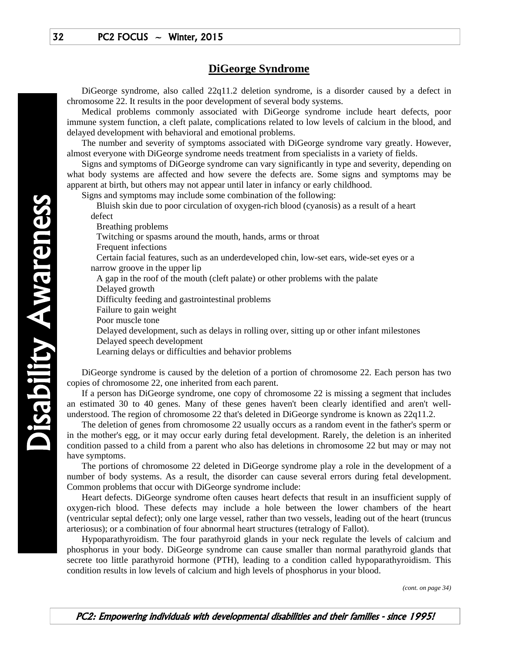## **DiGeorge Syndrome**

 DiGeorge syndrome, also called 22q11.2 deletion syndrome, is a disorder caused by a defect in chromosome 22. It results in the poor development of several body systems.

 Medical problems commonly associated with DiGeorge syndrome include heart defects, poor immune system function, a cleft palate, complications related to low levels of calcium in the blood, and delayed development with behavioral and emotional problems.

 The number and severity of symptoms associated with DiGeorge syndrome vary greatly. However, almost everyone with DiGeorge syndrome needs treatment from specialists in a variety of fields.

 Signs and symptoms of DiGeorge syndrome can vary significantly in type and severity, depending on what body systems are affected and how severe the defects are. Some signs and symptoms may be apparent at birth, but others may not appear until later in infancy or early childhood.

Signs and symptoms may include some combination of the following:

 Bluish skin due to poor circulation of oxygen-rich blood (cyanosis) as a result of a heart defect

Breathing problems

Twitching or spasms around the mouth, hands, arms or throat

Frequent infections

 Certain facial features, such as an underdeveloped chin, low-set ears, wide-set eyes or a narrow groove in the upper lip

A gap in the roof of the mouth (cleft palate) or other problems with the palate

Delayed growth

Difficulty feeding and gastrointestinal problems

Failure to gain weight

Poor muscle tone

Delayed development, such as delays in rolling over, sitting up or other infant milestones

Delayed speech development

Learning delays or difficulties and behavior problems

 DiGeorge syndrome is caused by the deletion of a portion of chromosome 22. Each person has two copies of chromosome 22, one inherited from each parent.

 If a person has DiGeorge syndrome, one copy of chromosome 22 is missing a segment that includes an estimated 30 to 40 genes. Many of these genes haven't been clearly identified and aren't wellunderstood. The region of chromosome 22 that's deleted in DiGeorge syndrome is known as 22q11.2.

 The deletion of genes from chromosome 22 usually occurs as a random event in the father's sperm or in the mother's egg, or it may occur early during fetal development. Rarely, the deletion is an inherited condition passed to a child from a parent who also has deletions in chromosome 22 but may or may not have symptoms.

 The portions of chromosome 22 deleted in DiGeorge syndrome play a role in the development of a number of body systems. As a result, the disorder can cause several errors during fetal development. Common problems that occur with DiGeorge syndrome include:

 Heart defects. DiGeorge syndrome often causes heart defects that result in an insufficient supply of oxygen-rich blood. These defects may include a hole between the lower chambers of the heart (ventricular septal defect); only one large vessel, rather than two vessels, leading out of the heart (truncus arteriosus); or a combination of four abnormal heart structures (tetralogy of Fallot).

 Hypoparathyroidism. The four parathyroid glands in your neck regulate the levels of calcium and phosphorus in your body. DiGeorge syndrome can cause smaller than normal parathyroid glands that secrete too little parathyroid hormone (PTH), leading to a condition called hypoparathyroidism. This condition results in low levels of calcium and high levels of phosphorus in your blood.

*(cont. on page 34)*